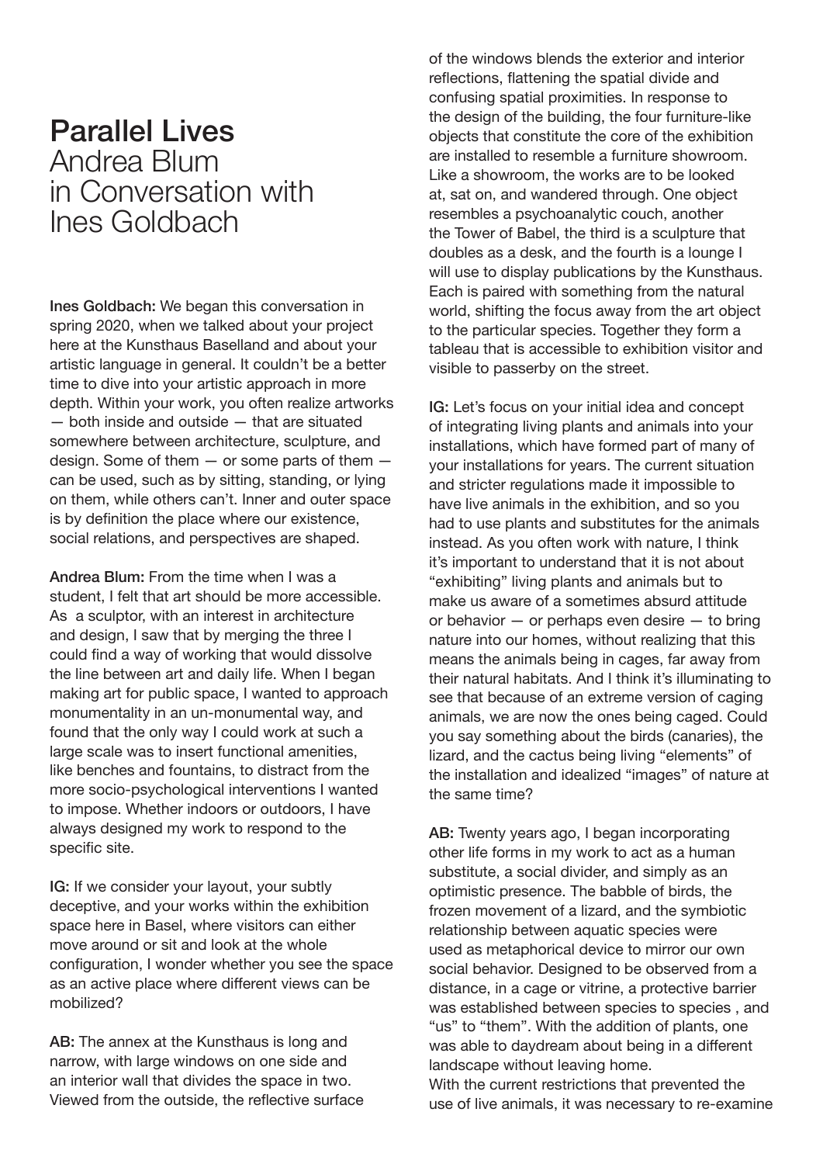## Parallel Lives Andrea Blum in Conversation with Ines Goldbach

Ines Goldbach: We began this conversation in spring 2020, when we talked about your project here at the Kunsthaus Baselland and about your artistic language in general. It couldn't be a better time to dive into your artistic approach in more depth. Within your work, you often realize artworks — both inside and outside — that are situated somewhere between architecture, sculpture, and design. Some of them — or some parts of them can be used, such as by sitting, standing, or lying on them, while others can't. Inner and outer space is by definition the place where our existence, social relations, and perspectives are shaped.

Andrea Blum: From the time when I was a student, I felt that art should be more accessible. As a sculptor, with an interest in architecture and design, I saw that by merging the three I could find a way of working that would dissolve the line between art and daily life. When I began making art for public space, I wanted to approach monumentality in an un-monumental way, and found that the only way I could work at such a large scale was to insert functional amenities, like benches and fountains, to distract from the more socio-psychological interventions I wanted to impose. Whether indoors or outdoors, I have always designed my work to respond to the specific site.

IG: If we consider your layout, your subtly deceptive, and your works within the exhibition space here in Basel, where visitors can either move around or sit and look at the whole configuration, I wonder whether you see the space as an active place where diferent views can be mobilized?

AB: The annex at the Kunsthaus is long and narrow, with large windows on one side and an interior wall that divides the space in two. Viewed from the outside, the refective surface of the windows blends the exterior and interior reflections, flattening the spatial divide and confusing spatial proximities. In response to the design of the building, the four furniture-like objects that constitute the core of the exhibition are installed to resemble a furniture showroom. Like a showroom, the works are to be looked at, sat on, and wandered through. One object resembles a psychoanalytic couch, another the Tower of Babel, the third is a sculpture that doubles as a desk, and the fourth is a lounge I will use to display publications by the Kunsthaus. Each is paired with something from the natural world, shifting the focus away from the art object to the particular species. Together they form a tableau that is accessible to exhibition visitor and visible to passerby on the street.

IG: Let's focus on your initial idea and concept of integrating living plants and animals into your installations, which have formed part of many of your installations for years. The current situation and stricter regulations made it impossible to have live animals in the exhibition, and so you had to use plants and substitutes for the animals instead. As you often work with nature, I think it's important to understand that it is not about "exhibiting" living plants and animals but to make us aware of a sometimes absurd attitude or behavior — or perhaps even desire — to bring nature into our homes, without realizing that this means the animals being in cages, far away from their natural habitats. And I think it's illuminating to see that because of an extreme version of caging animals, we are now the ones being caged. Could you say something about the birds (canaries), the lizard, and the cactus being living "elements" of the installation and idealized "images" of nature at the same time?

AB: Twenty years ago, I began incorporating other life forms in my work to act as a human substitute, a social divider, and simply as an optimistic presence. The babble of birds, the frozen movement of a lizard, and the symbiotic relationship between aquatic species were used as metaphorical device to mirror our own social behavior. Designed to be observed from a distance, in a cage or vitrine, a protective barrier was established between species to species , and "us" to "them". With the addition of plants, one was able to daydream about being in a diferent landscape without leaving home.

With the current restrictions that prevented the use of live animals, it was necessary to re-examine